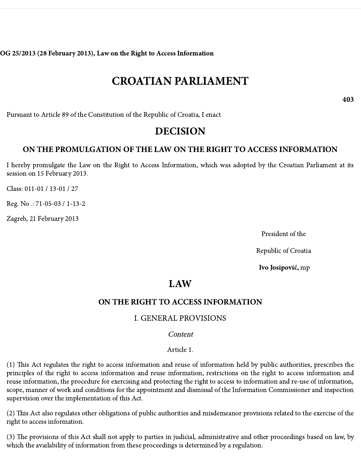OG 25/2013 (28 February 2013), Law on the Right to Access Information

# CROATIAN PARLIAMENT

403

Pursuant to Article 89 of the Constitution of the Republic of Croatia, I enact

# DECISION

## ON THE PROMULGATION OF THE LAW ON THE RIGHT TO ACCESS INFORMATION

I hereby promulgate the Law on the Right to Access Information, which was adopted by the Croatian Parliament at its session on 15 February 2013.

Class: 011-01 / 13-01 / 27

Reg. No .: 71-05-03 / 1-13-2

Zagreb, 21 February 2013

President of the

Republic of Croatia

Ivo Josipović, mp

# LAW

### ON THE RIGHT TO ACCESS INFORMATION

### I. GENERAL PROVISIONS

#### Content

#### Article 1.

(1) This Act regulates the right to access information and reuse of information held by public authorities, prescribes the principles of the right to access information and reuse information, restrictions on the right to access information and reuse information, the procedure for exercising and protecting the right to access to information and re-use of information, scope, manner of work and conditions for the appointment and dismissal of the Information Commissioner and inspection supervision over the implementation of this Act.

(2) This Act also regulates other obligations of public authorities and misdemeanor provisions related to the exercise of the right to access information.

(3) The provisions of this Act shall not apply to parties in judicial, administrative and other proceedings based on law, by which the availability of information from these proceedings is determined by a regulation.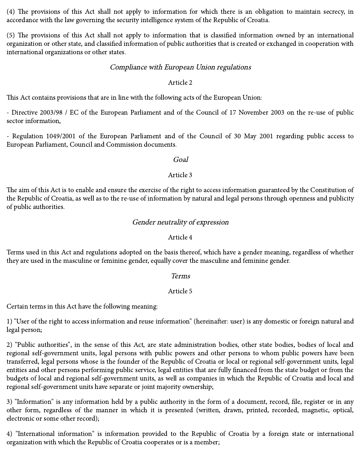$(4)$  The provisions of this Act shall not apply to information for which there is an obligation to maintain secrecy, in accordance with the law governing the security intelligence system of the Republic of Croatia.

(5) The provisions of this Act shall not apply to information that is classified information owned by an international organization or other state, and classified information of public authorities that is created or exchanged in cooperation with international organizations or other states.

#### Compliance with European Union regulations

#### Article 2

This Act contains provisions that are in line with the following acts of the European Union:

- Directive 2003/98 / EC of the European Parliament and of the Council of 17 November 2003 on the re-use of public sector information,

- Regulation 1049/2001 of the European Parliament and of the Council of 30 May 2001 regarding public access to European Parliament, Council and Commission documents.

#### Goal

#### Article 3

The aim of this Act is to enable and ensure the exercise of the right to access information guaranteed by the Constitution of the Republic of Croatia, as well as to the re-use of information by natural and legal persons through openness and publicity of public authorities.

#### Gender neutrality of expression

#### Article 4

Terms used in this Act and regulations adopted on the basis thereof, which have a gender meaning, regardless of whether they are used in the masculine or feminine gender, equally cover the masculine and feminine gender.

#### Terms

#### Article 5

Certain terms in this Act have the following meaning:

1) "User of the right to access information and reuse information" (hereinafter: user) is any domestic or foreign natural and legal person;

2) "Public authorities", in the sense of this Act, are state administration bodies, other state bodies, bodies of local and regional self-government units, legal persons with public powers and other persons to whom public powers have been transferred, legal persons whose is the founder of the Republic of Croatia or local or regional self-government units, legal entities and other persons performing public service, legal entities that are fully financed from the state budget or from the budgets of local and regional self-government units, as well as companies in which the Republic of Croatia and local and regional self-government units have separate or joint majority ownership;

3) "Information" is any information held by a public authority in the form of a document, record, file, register or in any other form, regardless of the manner in which it is presented (written, drawn, printed, recorded, magnetic, optical, electronic or some other record);

4) "International information" is information provided to the Republic of Croatia by a foreign state or international organization with which the Republic of Croatia cooperates or is a member;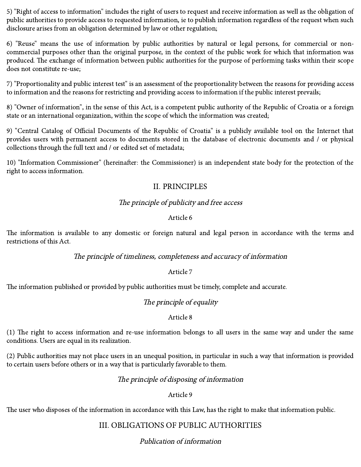5) "Right of access to information" includes the right of users to request and receive information as well as the obligation of public authorities to provide access to requested information, ie to publish information regardless of the request when such disclosure arises from an obligation determined by law or other regulation;

6) "Reuse" means the use of information by public authorities by natural or legal persons, for commercial or noncommercial purposes other than the original purpose, in the context of the public work for which that information was produced. The exchange of information between public authorities for the purpose of performing tasks within their scope does not constitute re-use;

7) "Proportionality and public interest test" is an assessment of the proportionality between the reasons for providing access to information and the reasons for restricting and providing access to information if the public interest prevails;

8) "Owner of information", in the sense of this Act, is a competent public authority of the Republic of Croatia or a foreign state or an international organization, within the scope of which the information was created;

9) "Central Catalog of Official Documents of the Republic of Croatia" is a publicly available tool on the Internet that provides users with permanent access to documents stored in the database of electronic documents and / or physical collections through the full text and / or edited set of metadata;

10) "Information Commissioner" (hereinafter: the Commissioner) is an independent state body for the protection of the right to access information.

# II. PRINCIPLES

## The principle of publicity and free access

#### Article 6

The information is available to any domestic or foreign natural and legal person in accordance with the terms and restrictions of this Act.

#### The principle of timeliness, completeness and accuracy of information

#### Article 7

The information published or provided by public authorities must be timely, complete and accurate.

### The principle of equality

#### Article 8

(1) The right to access information and re-use information belongs to all users in the same way and under the same conditions. Users are equal in its realization.

(2) Public authorities may not place users in an unequal position, in particular in such a way that information is provided to certain users before others or in a way that is particularly favorable to them.

#### The principle of disposing of information

#### Article 9

The user who disposes of the information in accordance with this Law, has the right to make that information public.

# III. OBLIGATIONS OF PUBLIC AUTHORITIES

# Publication of information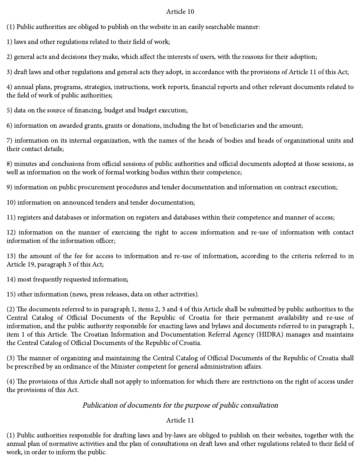(1) Public authorities are obliged to publish on the website in an easily searchable manner:

1) laws and other regulations related to their field of work;

2) general acts and decisions they make, which affect the interests of users, with the reasons for their adoption;

3) draft laws and other regulations and general acts they adopt, in accordance with the provisions of Article 11 of this Act;

4) annual plans, programs, strategies, instructions, work reports, financial reports and other relevant documents related to the field of work of public authorities;

5) data on the source of financing, budget and budget execution;

6) information on awarded grants, grants or donations, including the list of beneficiaries and the amount;

7) information on its internal organization, with the names of the heads of bodies and heads of organizational units and their contact details;

8) minutes and conclusions from official sessions of public authorities and official documents adopted at those sessions, as well as information on the work of formal working bodies within their competence;

9) information on public procurement procedures and tender documentation and information on contract execution;

10) information on announced tenders and tender documentation;

11) registers and databases or information on registers and databases within their competence and manner of access;

12) information on the manner of exercising the right to access information and re-use of information with contact information of the information officer;

13) the amount of the fee for access to information and re-use of information, according to the criteria referred to in Article 19, paragraph 3 of this Act;

14) most frequently requested information;

15) other information (news, press releases, data on other activities).

(2) The documents referred to in paragraph 1, items 2, 3 and 4 of this Article shall be submitted by public authorities to the Central Catalog of Official Documents of the Republic of Croatia for their permanent availability and re-use of information, and the public authority responsible for enacting laws and bylaws and documents referred to in paragraph 1, item 1 of this Article. The Croatian Information and Documentation Referral Agency (HIDRA) manages and maintains the Central Catalog of Official Documents of the Republic of Croatia.

(3) The manner of organizing and maintaining the Central Catalog of Official Documents of the Republic of Croatia shall be prescribed by an ordinance of the Minister competent for general administration affairs.

(4) The provisions of this Article shall not apply to information for which there are restrictions on the right of access under the provisions of this Act.

### Publication of documents for the purpose of public consultation

### Article 11

(1) Public authorities responsible for drafting laws and by-laws are obliged to publish on their websites, together with the annual plan of normative activities and the plan of consultations on draft laws and other regulations related to their field of work, in order to inform the public.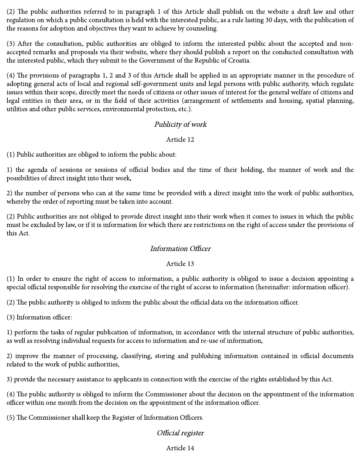$(2)$  The public authorities referred to in paragraph 1 of this Article shall publish on the website a draft law and other regulation on which a public consultation is held with the interested public, as a rule lasting 30 days, with the publication of the reasons for adoption and objectives they want to achieve by counseling.

(3) After the consultation, public authorities are obliged to inform the interested public about the accepted and nonaccepted remarks and proposals via their website, where they should publish a report on the conducted consultation with the interested public, which they submit to the Government of the Republic of Croatia.

 $(4)$  The provisions of paragraphs 1, 2 and 3 of this Article shall be applied in an appropriate manner in the procedure of adopting general acts of local and regional self-government units and legal persons with public authority, which regulate issues within their scope, directly meet the needs of citizens or other issues of interest for the general welfare of citizens and legal entities in their area, or in the field of their activities (arrangement of settlements and housing, spatial planning, utilities and other public services, environmental protection, etc.).

## Publicity of work

#### Article 12

(1) Public authorities are obliged to inform the public about:

1) the agenda of sessions or sessions of official bodies and the time of their holding, the manner of work and the possibilities of direct insight into their work,

2) the number of persons who can at the same time be provided with a direct insight into the work of public authorities, whereby the order of reporting must be taken into account.

(2) Public authorities are not obliged to provide direct insight into their work when it comes to issues in which the public must be excluded by law, or if it is information for which there are restrictions on the right of access under the provisions of this Act.

### Information Officer

#### Article 13

(1) In order to ensure the right of access to information, a public authority is obliged to issue a decision appointing a special official responsible for resolving the exercise of the right of access to information (hereinafter: information officer).

(2) The public authority is obliged to inform the public about the official data on the information officer.

(3) Information officer:

1) perform the tasks of regular publication of information, in accordance with the internal structure of public authorities, as well as resolving individual requests for access to information and re-use of information,

2) improve the manner of processing, classifying, storing and publishing information contained in official documents related to the work of public authorities,

3) provide the necessary assistance to applicants in connection with the exercise of the rights established by this Act.

(4) The public authority is obliged to inform the Commissioner about the decision on the appointment of the information officer within one month from the decision on the appointment of the information officer.

(5) The Commissioner shall keep the Register of Information Officers.

### Official register

#### Article 14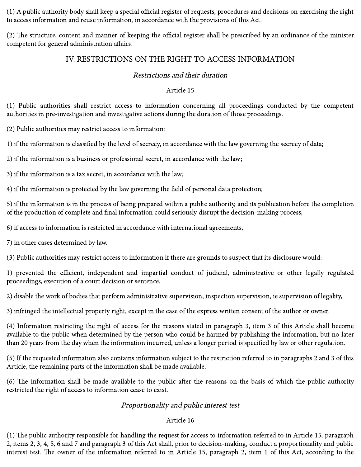(1) A public authority body shall keep a special official register of requests, procedures and decisions on exercising the right to access information and reuse information, in accordance with the provisions of this Act.

(2) The structure, content and manner of keeping the official register shall be prescribed by an ordinance of the minister competent for general administration affairs.

# IV. RESTRICTIONS ON THE RIGHT TO ACCESS INFORMATION

#### Restrictions and their duration

#### Article 15

(1) Public authorities shall restrict access to information concerning all proceedings conducted by the competent authorities in pre-investigation and investigative actions during the duration of those proceedings.

(2) Public authorities may restrict access to information:

1) if the information is classified by the level of secrecy, in accordance with the law governing the secrecy of data;

2) if the information is a business or professional secret, in accordance with the law;

3) if the information is a tax secret, in accordance with the law;

4) if the information is protected by the law governing the field of personal data protection;

5) if the information is in the process of being prepared within a public authority, and its publication before the completion of the production of complete and final information could seriously disrupt the decision-making process;

6) if access to information is restricted in accordance with international agreements,

7) in other cases determined by law.

(3) Public authorities may restrict access to information if there are grounds to suspect that its disclosure would:

1) prevented the efficient, independent and impartial conduct of judicial, administrative or other legally regulated proceedings, execution of a court decision or sentence,

2) disable the work of bodies that perform administrative supervision, inspection supervision, ie supervision of legality,

3) infringed the intellectual property right, except in the case of the express written consent of the author or owner.

(4) Information restricting the right of access for the reasons stated in paragraph 3, item 3 of this Article shall become available to the public when determined by the person who could be harmed by publishing the information, but no later than 20 years from the day when the information incurred, unless a longer period is specified by law or other regulation.

(5) If the requested information also contains information subject to the restriction referred to in paragraphs 2 and 3 of this Article, the remaining parts of the information shall be made available.

(6) The information shall be made available to the public after the reasons on the basis of which the public authority restricted the right of access to information cease to exist.

### Proportionality and public interest test

### Article 16

 $(1)$  The public authority responsible for handling the request for access to information referred to in Article 15, paragraph 2, items 2, 3, 4, 5, 6 and 7 and paragraph 3 of this Act shall, prior to decision-making, conduct a proportionality and public interest test. The owner of the information referred to in Article 15, paragraph 2, item 1 of this Act, according to the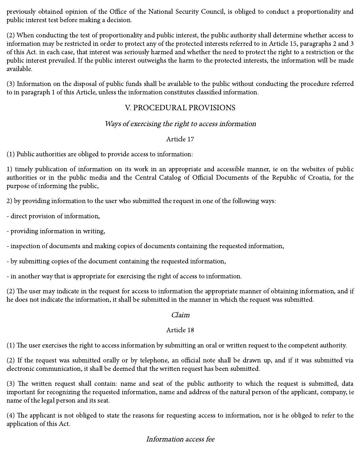previously obtained opinion of the Office of the National Security Council, is obliged to conduct a proportionality and public interest test before making a decision.

(2) When conducting the test of proportionality and public interest, the public authority shall determine whether access to information may be restricted in order to protect any of the protected interests referred to in Article 15, paragraphs 2 and 3 of this Act. in each case, that interest was seriously harmed and whether the need to protect the right to a restriction or the public interest prevailed. If the public interest outweighs the harm to the protected interests, the information will be made available.

(3) Information on the disposal of public funds shall be available to the public without conducting the procedure referred to in paragraph 1 of this Article, unless the information constitutes classified information.

# V. PROCEDURAL PROVISIONS

## Ways of exercising the right to access information

#### Article 17

(1) Public authorities are obliged to provide access to information:

1) timely publication of information on its work in an appropriate and accessible manner, ie on the websites of public authorities or in the public media and the Central Catalog of Official Documents of the Republic of Croatia, for the purpose of informing the public,

2) by providing information to the user who submitted the request in one of the following ways:

- direct provision of information,

- providing information in writing,

- inspection of documents and making copies of documents containing the requested information,

- by submitting copies of the document containing the requested information,

- in another way that is appropriate for exercising the right of access to information.

(2) The user may indicate in the request for access to information the appropriate manner of obtaining information, and if he does not indicate the information, it shall be submitted in the manner in which the request was submitted.

#### Claim

### Article 18

 $(1)$  The user exercises the right to access information by submitting an oral or written request to the competent authority.

(2) If the request was submitted orally or by telephone, an official note shall be drawn up, and if it was submitted via electronic communication, it shall be deemed that the written request has been submitted.

(3) The written request shall contain: name and seat of the public authority to which the request is submitted, data important for recognizing the requested information, name and address of the natural person of the applicant, company, ie name of the legal person and its seat.

(4) The applicant is not obliged to state the reasons for requesting access to information, nor is he obliged to refer to the application of this Act.

### Information access fee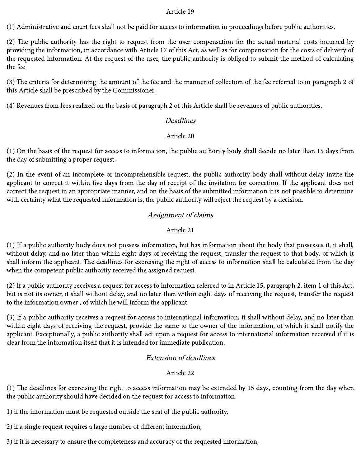(1) Administrative and court fees shall not be paid for access to information in proceedings before public authorities.

(2) The public authority has the right to request from the user compensation for the actual material costs incurred by providing the information, in accordance with Article 17 of this Act, as well as for compensation for the costs of delivery of the requested information. At the request of the user, the public authority is obliged to submit the method of calculating the fee.

(3) The criteria for determining the amount of the fee and the manner of collection of the fee referred to in paragraph 2 of this Article shall be prescribed by the Commissioner.

(4) Revenues from fees realized on the basis of paragraph 2 of this Article shall be revenues of public authorities.

#### Deadlines

#### Article 20

(1) On the basis of the request for access to information, the public authority body shall decide no later than 15 days from the day of submitting a proper request.

(2) In the event of an incomplete or incomprehensible request, the public authority body shall without delay invite the applicant to correct it within five days from the day of receipt of the invitation for correction. If the applicant does not correct the request in an appropriate manner, and on the basis of the submitted information it is not possible to determine with certainty what the requested information is, the public authority will reject the request by a decision.

### Assignment of claims

#### Article 21

(1) If a public authority body does not possess information, but has information about the body that possesses it, it shall, without delay, and no later than within eight days of receiving the request, transfer the request to that body, of which it shall inform the applicant. The deadlines for exercising the right of access to information shall be calculated from the day when the competent public authority received the assigned request.

(2) If a public authority receives a request for access to information referred to in Article 15, paragraph 2, item 1 of this Act, but is not its owner, it shall without delay, and no later than within eight days of receiving the request, transfer the request to the information owner , of which he will inform the applicant.

(3) If a public authority receives a request for access to international information, it shall without delay, and no later than within eight days of receiving the request, provide the same to the owner of the information, of which it shall notify the applicant. Exceptionally, a public authority shall act upon a request for access to international information received if it is clear from the information itself that it is intended for immediate publication.

### Extension of deadlines

#### Article 22

(1) The deadlines for exercising the right to access information may be extended by 15 days, counting from the day when the public authority should have decided on the request for access to information:

1) if the information must be requested outside the seat of the public authority,

2) if a single request requires a large number of different information,

3) if it is necessary to ensure the completeness and accuracy of the requested information,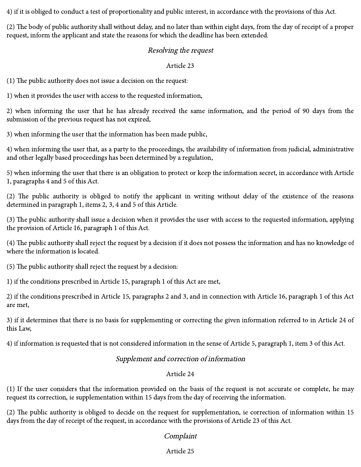4) if it is obliged to conduct a test of proportionality and public interest, in accordance with the provisions of this Act.

(2) The body of public authority shall without delay, and no later than within eight days, from the day of receipt of a proper request, inform the applicant and state the reasons for which the deadline has been extended.

#### Resolving the request

#### Article 23

 $(1)$  The public authority does not issue a decision on the request:

1) when it provides the user with access to the requested information,

2) when informing the user that he has already received the same information, and the period of 90 days from the submission of the previous request has not expired,

3) when informing the user that the information has been made public,

4) when informing the user that, as a party to the proceedings, the availability of information from judicial, administrative and other legally based proceedings has been determined by a regulation,

5) when informing the user that there is an obligation to protect or keep the information secret, in accordance with Article 1, paragraphs 4 and 5 of this Act.

(2) The public authority is obliged to notify the applicant in writing without delay of the existence of the reasons determined in paragraph 1, items 2, 3, 4 and 5 of this Article.

(3) The public authority shall issue a decision when it provides the user with access to the requested information, applying the provision of Article 16, paragraph 1 of this Act.

(4) The public authority shall reject the request by a decision if it does not possess the information and has no knowledge of where the information is located.

 $(5)$  The public authority shall reject the request by a decision:

1) if the conditions prescribed in Article 15, paragraph 1 of this Act are met,

2) if the conditions prescribed in Article 15, paragraphs 2 and 3, and in connection with Article 16, paragraph 1 of this Act are met,

3) if it determines that there is no basis for supplementing or correcting the given information referred to in Article 24 of this Law,

4) if information is requested that is not considered information in the sense of Article 5, paragraph 1, item 3 of this Act.

### Supplement and correction of information

### Article 24

(1) If the user considers that the information provided on the basis of the request is not accurate or complete, he may request its correction, ie supplementation within 15 days from the day of receiving the information.

 $(2)$  The public authority is obliged to decide on the request for supplementation, ie correction of information within 15 days from the day of receipt of the request, in accordance with the provisions of Article 23 of this Act.

### Complaint

#### Article 25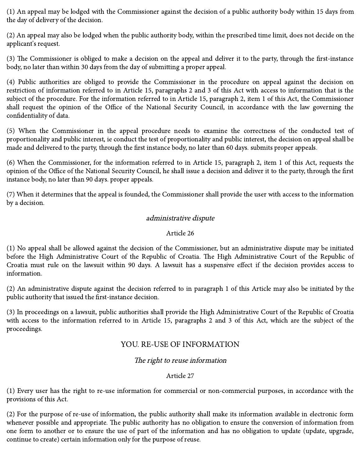(1) An appeal may be lodged with the Commissioner against the decision of a public authority body within 15 days from the day of delivery of the decision.

(2) An appeal may also be lodged when the public authority body, within the prescribed time limit, does not decide on the applicant's request.

(3) The Commissioner is obliged to make a decision on the appeal and deliver it to the party, through the first-instance body, no later than within 30 days from the day of submitting a proper appeal.

(4) Public authorities are obliged to provide the Commissioner in the procedure on appeal against the decision on restriction of information referred to in Article 15, paragraphs 2 and 3 of this Act with access to information that is the subject of the procedure. For the information referred to in Article 15, paragraph 2, item 1 of this Act, the Commissioner shall request the opinion of the Office of the National Security Council, in accordance with the law governing the confidentiality of data.

(5) When the Commissioner in the appeal procedure needs to examine the correctness of the conducted test of proportionality and public interest, ie conduct the test of proportionality and public interest, the decision on appeal shall be made and delivered to the party, through the first instance body, no later than 60 days. submits proper appeals.

(6) When the Commissioner, for the information referred to in Article 15, paragraph 2, item 1 of this Act, requests the opinion of the Office of the National Security Council, he shall issue a decision and deliver it to the party, through the first instance body, no later than 90 days. proper appeals.

(7) When it determines that the appeal is founded, the Commissioner shall provide the user with access to the information by a decision.

#### administrative dispute

#### Article 26

(1) No appeal shall be allowed against the decision of the Commissioner, but an administrative dispute may be initiated before the High Administrative Court of the Republic of Croatia. The High Administrative Court of the Republic of Croatia must rule on the lawsuit within 90 days. A lawsuit has a suspensive effect if the decision provides access to information.

(2) An administrative dispute against the decision referred to in paragraph 1 of this Article may also be initiated by the public authority that issued the first-instance decision.

(3) In proceedings on a lawsuit, public authorities shall provide the High Administrative Court of the Republic of Croatia with access to the information referred to in Article 15, paragraphs 2 and 3 of this Act, which are the subject of the proceedings.

### YOU. RE-USE OF INFORMATION

#### The right to reuse information

#### Article 27

(1) Every user has the right to re-use information for commercial or non-commercial purposes, in accordance with the provisions of this Act.

(2) For the purpose of re-use of information, the public authority shall make its information available in electronic form whenever possible and appropriate. The public authority has no obligation to ensure the conversion of information from one form to another or to ensure the use of part of the information and has no obligation to update (update, upgrade, continue to create) certain information only for the purpose of reuse.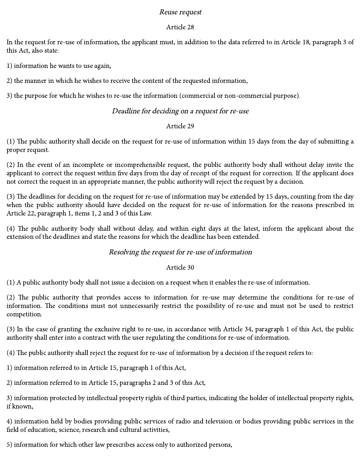#### Reuse request

#### Article 28

In the request for re-use of information, the applicant must, in addition to the data referred to in Article 18, paragraph 3 of this Act, also state:

1) information he wants to use again,

2) the manner in which he wishes to receive the content of the requested information,

3) the purpose for which he wishes to re-use the information (commercial or non-commercial purpose).

### Deadline for deciding on <sup>a</sup> request for re-use

#### Article 29

(1) The public authority shall decide on the request for re-use of information within 15 days from the day of submitting a proper request.

(2) In the event of an incomplete or incomprehensible request, the public authority body shall without delay invite the applicant to correct the request within five days from the day of receipt of the request for correction. If the applicant does not correct the request in an appropriate manner, the public authority will reject the request by a decision.

(3) The deadlines for deciding on the request for re-use of information may be extended by 15 days, counting from the day when the public authority should have decided on the request for re-use of information for the reasons prescribed in Article 22, paragraph 1, items 1, 2 and 3 of this Law.

(4) The public authority body shall without delay, and within eight days at the latest, inform the applicant about the extension of the deadlines and state the reasons for which the deadline has been extended.

#### Resolving the request for re-use of information

#### Article 30

(1) A public authority body shall not issue a decision on a request when it enables the re-use of information.

(2) The public authority that provides access to information for re-use may determine the conditions for re-use of information. The conditions must not unnecessarily restrict the possibility of re-use and must not be used to restrict competition.

(3) In the case of granting the exclusive right to re-use, in accordance with Article 34, paragraph 1 of this Act, the public authority shall enter into a contract with the user regulating the conditions for re-use of information.

 $(4)$  The public authority shall reject the request for re-use of information by a decision if the request refers to:

1) information referred to in Article 15, paragraph 1 of this Act,

2) information referred to in Article 15, paragraphs 2 and 3 of this Act,

3) information protected by intellectual property rights of third parties, indicating the holder of intellectual property rights, if known,

4) information held by bodies providing public services of radio and television or bodies providing public services in the field of education, science, research and cultural activities,

5) information for which other law prescribes access only to authorized persons,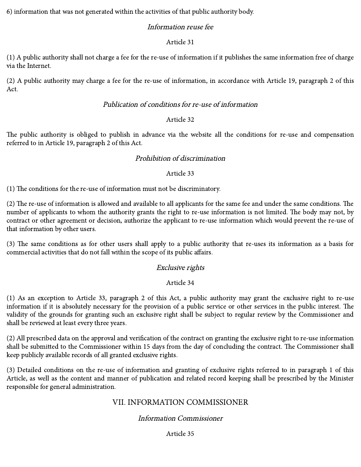6) information that was not generated within the activities of that public authority body.

# Information reuse fee

## Article 31

(1) A public authority shall not charge a fee for the re-use of information if it publishes the same information free of charge via the Internet.

(2) A public authority may charge a fee for the re-use of information, in accordance with Article 19, paragraph 2 of this Act.

### Publication of conditions for re-use of information

### Article 32

The public authority is obliged to publish in advance via the website all the conditions for re-use and compensation referred to in Article 19, paragraph 2 of this Act.

### Prohibition of discrimination

### Article 33

(1) The conditions for the re-use of information must not be discriminatory.

 $(2)$  The re-use of information is allowed and available to all applicants for the same fee and under the same conditions. The number of applicants to whom the authority grants the right to re-use information is not limited. The body may not, by contract or other agreement or decision, authorize the applicant to re-use information which would prevent the re-use of that information by other users.

(3) The same conditions as for other users shall apply to a public authority that re-uses its information as a basis for commercial activities that do not fall within the scope of its public affairs.

# Exclusive rights

### Article 34

(1) As an exception to Article 33, paragraph 2 of this Act, a public authority may grant the exclusive right to re-use information if it is absolutely necessary for the provision of a public service or other services in the public interest. The validity of the grounds for granting such an exclusive right shall be subject to regular review by the Commissioner and shall be reviewed at least every three years.

(2) All prescribed data on the approval and verification of the contract on granting the exclusive right to re-use information shall be submitted to the Commissioner within 15 days from the day of concluding the contract. The Commissioner shall keep publicly available records of all granted exclusive rights.

(3) Detailed conditions on the re-use of information and granting of exclusive rights referred to in paragraph 1 of this Article, as well as the content and manner of publication and related record keeping shall be prescribed by the Minister responsible for general administration.

# VII. INFORMATION COMMISSIONER

# Information Commissioner

### Article 35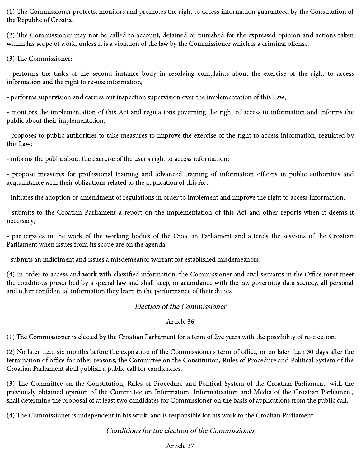(1) The Commissioner protects, monitors and promotes the right to access information guaranteed by the Constitution of the Republic of Croatia.

(2) The Commissioner may not be called to account, detained or punished for the expressed opinion and actions taken within his scope of work, unless it is a violation of the law by the Commissioner which is a criminal offense.

 $(3)$  The Commissioner:

- performs the tasks of the second instance body in resolving complaints about the exercise of the right to access information and the right to re-use information;

- performs supervision and carries out inspection supervision over the implementation of this Law;

- monitors the implementation of this Act and regulations governing the right of access to information and informs the public about their implementation;

- proposes to public authorities to take measures to improve the exercise of the right to access information, regulated by this Law;

- informs the public about the exercise of the user's right to access information;

- propose measures for professional training and advanced training of information officers in public authorities and acquaintance with their obligations related to the application of this Act;

- initiates the adoption or amendment of regulations in order to implement and improve the right to access information;

- submits to the Croatian Parliament a report on the implementation of this Act and other reports when it deems it necessary;

- participates in the work of the working bodies of the Croatian Parliament and attends the sessions of the Croatian Parliament when issues from its scope are on the agenda;

- submits an indictment and issues a misdemeanor warrant for established misdemeanors.

(4) In order to access and work with classified information, the Commissioner and civil servants in the Office must meet the conditions prescribed by a special law and shall keep, in accordance with the law governing data secrecy, all personal and other confidential information they learn in the performance of their duties.

### Election of the Commissioner

#### Article 36

(1) The Commissioner is elected by the Croatian Parliament for a term of five years with the possibility of re-election.

(2) No later than six months before the expiration of the Commissioner's term of office, or no later than 30 days after the termination of office for other reasons, the Committee on the Constitution, Rules of Procedure and Political System of the Croatian Parliament shall publish a public call for candidacies.

(3) The Committee on the Constitution, Rules of Procedure and Political System of the Croatian Parliament, with the previously obtained opinion of the Committee on Information, Informatization and Media of the Croatian Parliament, shall determine the proposal of at least two candidates for Commissioner on the basis of applications from the public call.

(4) The Commissioner is independent in his work, and is responsible for his work to the Croatian Parliament.

### Conditions for the election of the Commissioner

#### Article 37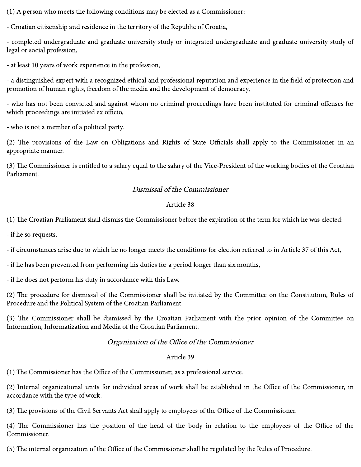(1) A person who meets the following conditions may be elected as a Commissioner:

- Croatian citizenship and residence in the territory of the Republic of Croatia,

- completed undergraduate and graduate university study or integrated undergraduate and graduate university study of legal or social profession,

- at least 10 years of work experience in the profession,

- a distinguished expert with a recognized ethical and professional reputation and experience in the field of protection and promotion of human rights, freedom of the media and the development of democracy,

- who has not been convicted and against whom no criminal proceedings have been instituted for criminal offenses for which proceedings are initiated ex officio,

- who is not a member of a political party.

(2) The provisions of the Law on Obligations and Rights of State Officials shall apply to the Commissioner in an appropriate manner.

(3) The Commissioner is entitled to a salary equal to the salary of the Vice-President of the working bodies of the Croatian Parliament.

## Dismissal of the Commissioner

### Article 38

 $(1)$  The Croatian Parliament shall dismiss the Commissioner before the expiration of the term for which he was elected:

- if he so requests,

- if circumstances arise due to which he no longer meets the conditions for election referred to in Article 37 of this Act,

- if he has been prevented from performing his duties for a period longer than six months,

- if he does not perform his duty in accordance with this Law.

(2) The procedure for dismissal of the Commissioner shall be initiated by the Committee on the Constitution, Rules of Procedure and the Political System of the Croatian Parliament.

(3) The Commissioner shall be dismissed by the Croatian Parliament with the prior opinion of the Committee on Information, Informatization and Media of the Croatian Parliament.

# Organization of the Office of the Commissioner

### Article 39

 $(1)$  The Commissioner has the Office of the Commissioner, as a professional service.

(2) Internal organizational units for individual areas of work shall be established in the Office of the Commissioner, in accordance with the type of work.

(3) The provisions of the Civil Servants Act shall apply to employees of the Office of the Commissioner.

(4) The Commissioner has the position of the head of the body in relation to the employees of the Office of the Commissioner.

(5) The internal organization of the Office of the Commissioner shall be regulated by the Rules of Procedure.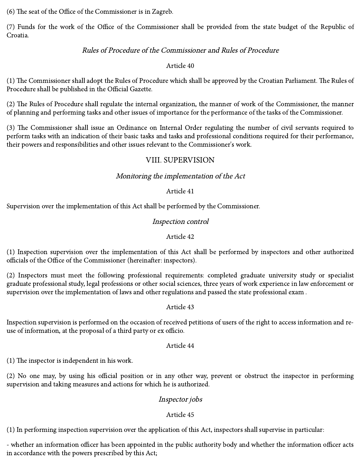$(6)$  The seat of the Office of the Commissioner is in Zagreb.

(7) Funds for the work of the Office of the Commissioner shall be provided from the state budget of the Republic of Croatia.

### Rules of Procedure of the Commissioner and Rules of Procedure

#### Article 40

(1) The Commissioner shall adopt the Rules of Procedure which shall be approved by the Croatian Parliament. The Rules of Procedure shall be published in the Official Gazette.

(2) The Rules of Procedure shall regulate the internal organization, the manner of work of the Commissioner, the manner of planning and performing tasks and other issues of importance for the performance of the tasks of the Commissioner.

(3) The Commissioner shall issue an Ordinance on Internal Order regulating the number of civil servants required to perform tasks with an indication of their basic tasks and tasks and professional conditions required for their performance, their powers and responsibilities and other issues relevant to the Commissioner's work.

# VIII. SUPERVISION

## Monitoring the implementation of the Act

#### Article 41

Supervision over the implementation of this Act shall be performed by the Commissioner.

## Inspection control

### Article 42

(1) Inspection supervision over the implementation of this Act shall be performed by inspectors and other authorized officials of the Office of the Commissioner (hereinafter: inspectors).

(2) Inspectors must meet the following professional requirements: completed graduate university study or specialist graduate professional study, legal professions or other social sciences, three years of work experience in law enforcement or supervision over the implementation of laws and other regulations and passed the state professional exam .

### Article 43

Inspection supervision is performed on the occasion of received petitions of users of the right to access information and reuse of information, at the proposal of a third party or ex officio.

#### Article 44

 $(1)$  The inspector is independent in his work.

(2) No one may, by using his official position or in any other way, prevent or obstruct the inspector in performing supervision and taking measures and actions for which he is authorized.

### Inspector jobs

#### Article 45

(1) In performing inspection supervision over the application of this Act, inspectors shall supervise in particular:

- whether an information officer has been appointed in the public authority body and whether the information officer acts in accordance with the powers prescribed by this Act;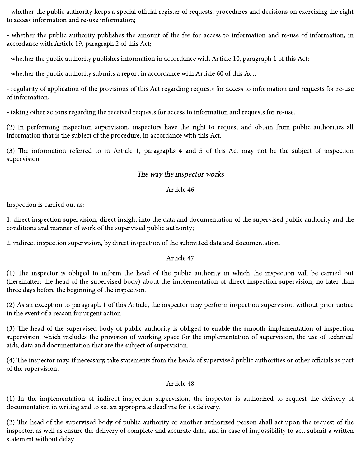- whether the public authority keeps a special official register of requests, procedures and decisions on exercising the right to access information and re-use information;

- whether the public authority publishes the amount of the fee for access to information and re-use of information, in accordance with Article 19, paragraph 2 of this Act;

- whether the public authority publishes information in accordance with Article 10, paragraph 1 of this Act;

- whether the public authority submits a report in accordance with Article 60 of this Act;

- regularity of application of the provisions of this Act regarding requests for access to information and requests for re-use of information;

- taking other actions regarding the received requests for access to information and requests for re-use.

(2) In performing inspection supervision, inspectors have the right to request and obtain from public authorities all information that is the subject of the procedure, in accordance with this Act.

(3) The information referred to in Article 1, paragraphs 4 and 5 of this Act may not be the subject of inspection supervision.

## The way the inspector works

### Article 46

Inspection is carried out as:

1. direct inspection supervision, direct insight into the data and documentation of the supervised public authority and the conditions and manner of work of the supervised public authority;

2. indirect inspection supervision, by direct inspection of the submitted data and documentation.

### Article 47

(1) The inspector is obliged to inform the head of the public authority in which the inspection will be carried out (hereinafter: the head of the supervised body) about the implementation of direct inspection supervision, no later than three days before the beginning of the inspection.

(2) As an exception to paragraph 1 of this Article, the inspector may perform inspection supervision without prior notice in the event of a reason for urgent action.

(3) The head of the supervised body of public authority is obliged to enable the smooth implementation of inspection supervision, which includes the provision of working space for the implementation of supervision, the use of technical aids, data and documentation that are the subject of supervision.

(4) The inspector may, if necessary, take statements from the heads of supervised public authorities or other officials as part of the supervision.

### Article 48

(1) In the implementation of indirect inspection supervision, the inspector is authorized to request the delivery of documentation in writing and to set an appropriate deadline for its delivery.

(2) The head of the supervised body of public authority or another authorized person shall act upon the request of the inspector, as well as ensure the delivery of complete and accurate data, and in case of impossibility to act, submit a written statement without delay.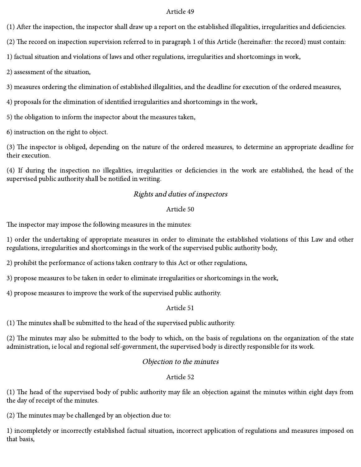(1) After the inspection, the inspector shall draw up a report on the established illegalities, irregularities and deficiencies.

 $(2)$  The record on inspection supervision referred to in paragraph 1 of this Article (hereinafter: the record) must contain:

1) factual situation and violations of laws and other regulations, irregularities and shortcomings in work,

2) assessment of the situation,

3) measures ordering the elimination of established illegalities, and the deadline for execution of the ordered measures,

4) proposals for the elimination of identified irregularities and shortcomings in the work,

5) the obligation to inform the inspector about the measures taken,

6) instruction on the right to object.

(3) The inspector is obliged, depending on the nature of the ordered measures, to determine an appropriate deadline for their execution.

(4) If during the inspection no illegalities, irregularities or deficiencies in the work are established, the head of the supervised public authority shall be notified in writing.

### Rights and duties of inspectors

#### Article 50

The inspector may impose the following measures in the minutes:

1) order the undertaking of appropriate measures in order to eliminate the established violations of this Law and other regulations, irregularities and shortcomings in the work of the supervised public authority body,

2) prohibit the performance of actions taken contrary to this Act or other regulations,

3) propose measures to be taken in order to eliminate irregularities or shortcomings in the work,

4) propose measures to improve the work of the supervised public authority.

#### Article 51

 $(1)$  The minutes shall be submitted to the head of the supervised public authority.

 $(2)$  The minutes may also be submitted to the body to which, on the basis of regulations on the organization of the state administration, ie local and regional self-government, the supervised body is directly responsible for its work.

#### Objection to the minutes

#### Article 52

(1) The head of the supervised body of public authority may file an objection against the minutes within eight days from the day of receipt of the minutes.

 $(2)$  The minutes may be challenged by an objection due to:

1) incompletely or incorrectly established factual situation, incorrect application of regulations and measures imposed on that basis,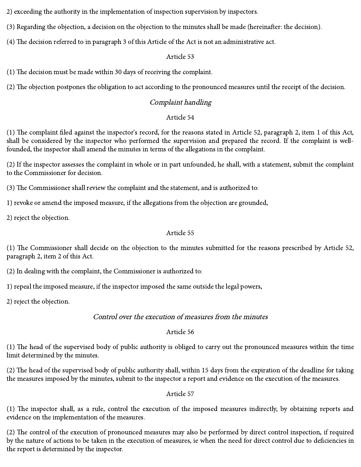2) exceeding the authority in the implementation of inspection supervision by inspectors.

(3) Regarding the objection, a decision on the objection to the minutes shall be made (hereinafter: the decision).

(4) The decision referred to in paragraph 3 of this Article of the Act is not an administrative act.

#### Article 53

(1) The decision must be made within 30 days of receiving the complaint.

(2) The objection postpones the obligation to act according to the pronounced measures until the receipt of the decision.

# Complaint handling

# Article 54

(1) The complaint filed against the inspector's record, for the reasons stated in Article 52, paragraph 2, item 1 of this Act, shall be considered by the inspector who performed the supervision and prepared the record. If the complaint is wellfounded, the inspector shall amend the minutes in terms of the allegations in the complaint.

(2) If the inspector assesses the complaint in whole or in part unfounded, he shall, with a statement, submit the complaint to the Commissioner for decision.

(3) The Commissioner shall review the complaint and the statement, and is authorized to:

1) revoke or amend the imposed measure, if the allegations from the objection are grounded,

2) reject the objection.

### Article 55

(1) The Commissioner shall decide on the objection to the minutes submitted for the reasons prescribed by Article 52, paragraph 2, item 2 of this Act.

(2) In dealing with the complaint, the Commissioner is authorized to:

1) repeal the imposed measure, if the inspector imposed the same outside the legal powers,

2) reject the objection.

# Control over the execution of measures from the minutes

# Article 56

(1) The head of the supervised body of public authority is obliged to carry out the pronounced measures within the time limit determined by the minutes.

 $(2)$  The head of the supervised body of public authority shall, within 15 days from the expiration of the deadline for taking the measures imposed by the minutes, submit to the inspector a report and evidence on the execution of the measures.

Article 57

(1) The inspector shall, as a rule, control the execution of the imposed measures indirectly, by obtaining reports and evidence on the implementation of the measures.

(2) The control of the execution of pronounced measures may also be performed by direct control inspection, if required by the nature of actions to be taken in the execution of measures, ie when the need for direct control due to deficiencies in the report is determined by the inspector.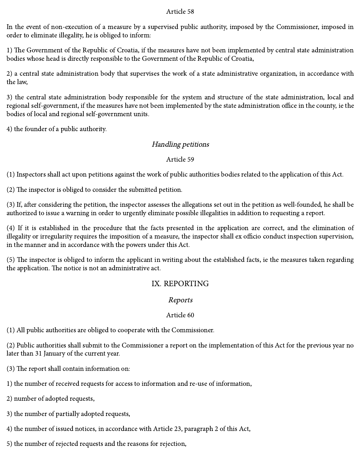In the event of non-execution of a measure by a supervised public authority, imposed by the Commissioner, imposed in order to eliminate illegality, he is obliged to inform:

1) The Government of the Republic of Croatia, if the measures have not been implemented by central state administration bodies whose head is directly responsible to the Government of the Republic of Croatia,

2) a central state administration body that supervises the work of a state administrative organization, in accordance with the law,

3) the central state administration body responsible for the system and structure of the state administration, local and regional self-government, if the measures have not been implemented by the state administration office in the county, ie the bodies of local and regional self-government units.

4) the founder of a public authority.

### Handling petitions

#### Article 59

(1) Inspectors shall act upon petitions against the work of public authorities bodies related to the application of this Act.

 $(2)$  The inspector is obliged to consider the submitted petition.

(3) If, after considering the petition, the inspector assesses the allegations set out in the petition as well-founded, he shall be authorized to issue a warning in order to urgently eliminate possible illegalities in addition to requesting a report.

(4) If it is established in the procedure that the facts presented in the application are correct, and the elimination of illegality or irregularity requires the imposition of a measure, the inspector shall ex officio conduct inspection supervision, in the manner and in accordance with the powers under this Act.

(5) The inspector is obliged to inform the applicant in writing about the established facts, ie the measures taken regarding the application. The notice is not an administrative act.

# IX. REPORTING

### Reports

#### Article 60

(1) All public authorities are obliged to cooperate with the Commissioner.

(2) Public authorities shall submit to the Commissioner a report on the implementation of this Act for the previous year no later than 31 January of the current year.

 $(3)$  The report shall contain information on:

1) the number of received requests for access to information and re-use of information,

2) number of adopted requests,

3) the number of partially adopted requests,

4) the number of issued notices, in accordance with Article 23, paragraph 2 of this Act,

5) the number of rejected requests and the reasons for rejection,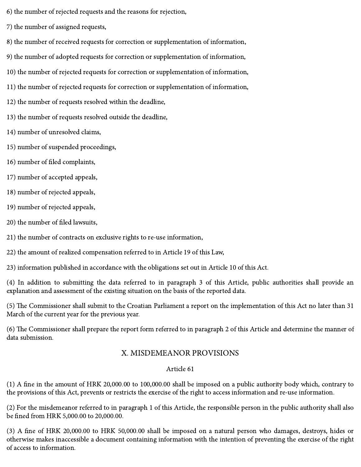6) the number of rejected requests and the reasons for rejection,

7) the number of assigned requests,

8) the number of received requests for correction or supplementation of information,

9) the number of adopted requests for correction or supplementation of information,

10) the number of rejected requests for correction or supplementation of information,

11) the number of rejected requests for correction or supplementation of information,

12) the number of requests resolved within the deadline,

13) the number of requests resolved outside the deadline,

14) number of unresolved claims,

15) number of suspended proceedings,

16) number of filed complaints,

17) number of accepted appeals,

18) number of rejected appeals,

19) number of rejected appeals,

20) the number of filed lawsuits,

21) the number of contracts on exclusive rights to re-use information,

22) the amount of realized compensation referred to in Article 19 of this Law,

23) information published in accordance with the obligations set out in Article 10 of this Act.

(4) In addition to submitting the data referred to in paragraph 3 of this Article, public authorities shall provide an explanation and assessment of the existing situation on the basis of the reported data.

(5) The Commissioner shall submit to the Croatian Parliament a report on the implementation of this Act no later than 31 March of the current year for the previous year.

(6) The Commissioner shall prepare the report form referred to in paragraph 2 of this Article and determine the manner of data submission.

# X. MISDEMEANOR PROVISIONS

### Article 61

 $(1)$  A fine in the amount of HRK 20,000.00 to 100,000.00 shall be imposed on a public authority body which, contrary to the provisions of this Act, prevents or restricts the exercise of the right to access information and re-use information.

(2) For the misdemeanor referred to in paragraph 1 of this Article, the responsible person in the public authority shall also be fined from HRK 5,000.00 to 20,000.00.

(3) A fine of HRK 20,000.00 to HRK 50,000.00 shall be imposed on a natural person who damages, destroys, hides or otherwise makes inaccessible a document containing information with the intention of preventing the exercise of the right of access to information.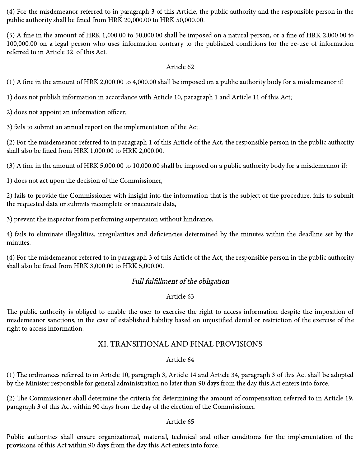(4) For the misdemeanor referred to in paragraph 3 of this Article, the public authority and the responsible person in the public authority shall be fined from HRK 20,000.00 to HRK 50,000.00.

 $(5)$  A fine in the amount of HRK 1,000.00 to 50,000.00 shall be imposed on a natural person, or a fine of HRK 2,000.00 to 100,000.00 on a legal person who uses information contrary to the published conditions for the re-use of information referred to in Article 32. of this Act.

#### Article 62

(1) A fine in the amount of HRK 2,000.00 to 4,000.00 shall be imposed on a public authority body for a misdemeanor if:

1) does not publish information in accordance with Article 10, paragraph 1 and Article 11 of this Act;

2) does not appoint an information officer;

3) fails to submit an annual report on the implementation of the Act.

(2) For the misdemeanor referred to in paragraph 1 of this Article of the Act, the responsible person in the public authority shall also be fined from HRK 1,000.00 to HRK 2,000.00.

(3) A fine in the amount of HRK 5,000.00 to 10,000.00 shall be imposed on a public authority body for a misdemeanor if:

1) does not act upon the decision of the Commissioner,

2) fails to provide the Commissioner with insight into the information that is the subject of the procedure, fails to submit the requested data or submits incomplete or inaccurate data,

3) prevent the inspector from performing supervision without hindrance,

4) fails to eliminate illegalities, irregularities and deficiencies determined by the minutes within the deadline set by the minutes.

(4) For the misdemeanor referred to in paragraph 3 of this Article of the Act, the responsible person in the public authority shall also be fined from HRK 3,000.00 to HRK 5,000.00.

### Full fulfillment of the obligation

#### Article 63

The public authority is obliged to enable the user to exercise the right to access information despite the imposition of misdemeanor sanctions, in the case of established liability based on unjustified denial or restriction of the exercise of the right to access information.

# XI. TRANSITIONAL AND FINAL PROVISIONS

#### Article 64

(1) The ordinances referred to in Article 10, paragraph 3, Article 14 and Article 34, paragraph 3 of this Act shall be adopted by the Minister responsible for general administration no later than 90 days from the day this Act enters into force.

(2) The Commissioner shall determine the criteria for determining the amount of compensation referred to in Article 19, paragraph 3 of this Act within 90 days from the day of the election of the Commissioner.

#### Article 65

Public authorities shall ensure organizational, material, technical and other conditions for the implementation of the provisions of this Act within 90 days from the day this Act enters into force.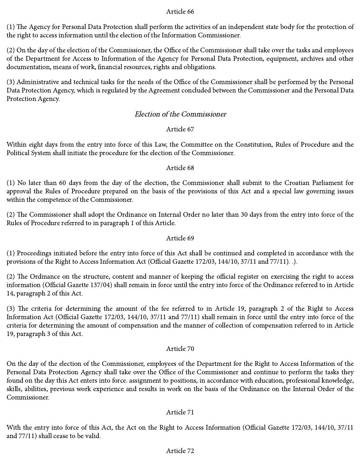(1) The Agency for Personal Data Protection shall perform the activities of an independent state body for the protection of the right to access information until the election of the Information Commissioner.

(2) On the day of the election of the Commissioner, the Office of the Commissioner shall take over the tasks and employees of the Department for Access to Information of the Agency for Personal Data Protection, equipment, archives and other documentation, means of work, financial resources, rights and obligations.

(3) Administrative and technical tasks for the needs of the Office of the Commissioner shall be performed by the Personal Data Protection Agency, which is regulated by the Agreement concluded between the Commissioner and the Personal Data Protection Agency.

#### Election of the Commissioner

#### Article 67

Within eight days from the entry into force of this Law, the Committee on the Constitution, Rules of Procedure and the Political System shall initiate the procedure for the election of the Commissioner.

#### Article 68

(1) No later than 60 days from the day of the election, the Commissioner shall submit to the Croatian Parliament for approval the Rules of Procedure prepared on the basis of the provisions of this Act and a special law governing issues within the competence of the Commissioner.

(2) The Commissioner shall adopt the Ordinance on Internal Order no later than 30 days from the entry into force of the Rules of Procedure referred to in paragraph 1 of this Article.

#### Article 69

(1) Proceedings initiated before the entry into force of this Act shall be continued and completed in accordance with the provisions of the Right to Access Information Act (Official Gazette 172/03, 144/10, 37/11 and 77/11). .).

(2) The Ordinance on the structure, content and manner of keeping the official register on exercising the right to access information (Official Gazette 137/04) shall remain in force until the entry into force of the Ordinance referred to in Article 14, paragraph 2 of this Act.

(3) The criteria for determining the amount of the fee referred to in Article 19, paragraph 2 of the Right to Access Information Act (Official Gazette 172/03, 144/10, 37/11 and 77/11) shall remain in force until the entry into force of the criteria for determining the amount of compensation and the manner of collection of compensation referred to in Article 19, paragraph 3 of this Act.

#### Article 70

On the day of the election of the Commissioner, employees of the Department for the Right to Access Information of the Personal Data Protection Agency shall take over the Office of the Commissioner and continue to perform the tasks they found on the day this Act enters into force. assignment to positions, in accordance with education, professional knowledge, skills, abilities, previous work experience and results in work on the basis of the Ordinance on the Internal Order of the Commissioner.

#### Article 71

With the entry into force of this Act, the Act on the Right to Access Information (Official Gazette 172/03, 144/10, 37/11 and 77/11) shall cease to be valid.